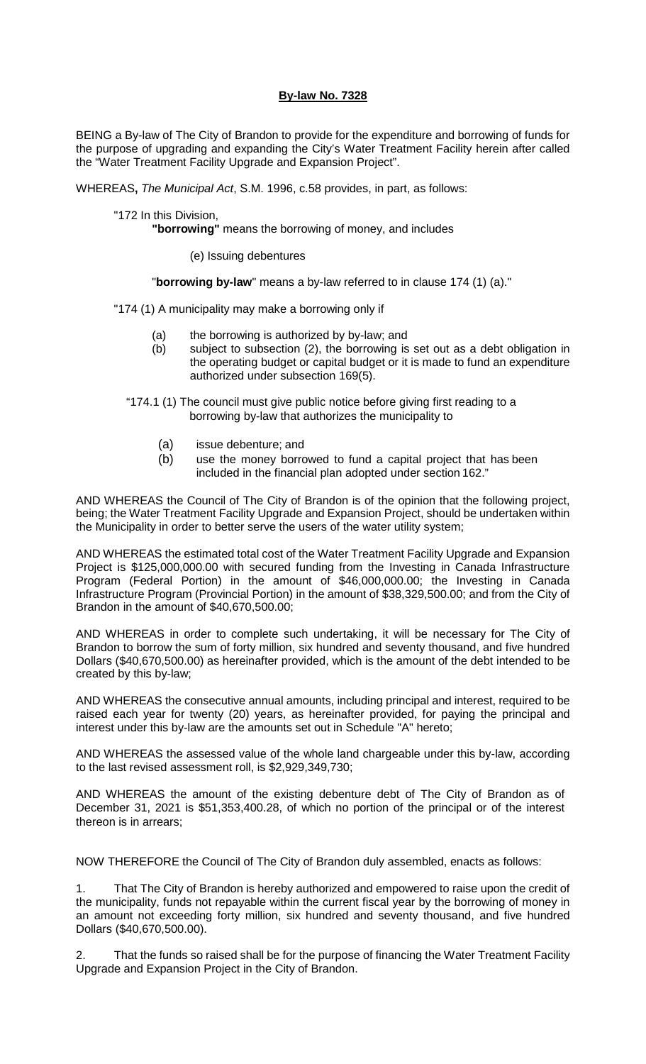## **By-law No. 7328**

BEING a By-law of The City of Brandon to provide for the expenditure and borrowing of funds for the purpose of upgrading and expanding the City's Water Treatment Facility herein after called the "Water Treatment Facility Upgrade and Expansion Project".

WHEREAS**,** *The Municipal Act*, S.M. 1996, c.58 provides, in part, as follows:

"172 In this Division,

**"borrowing"** means the borrowing of money, and includes

(e) Issuing debentures

"**borrowing by-law**" means a by-law referred to in clause 174 (1) (a)."

"174 (1) A municipality may make a borrowing only if

- (a) the borrowing is authorized by by-law; and  $(b)$  subject to subsection  $(2)$ , the borrowing is
- subject to subsection (2), the borrowing is set out as a debt obligation in the operating budget or capital budget or it is made to fund an expenditure authorized under subsection 169(5).
- "174.1 (1) The council must give public notice before giving first reading to a borrowing by-law that authorizes the municipality to
	- (a) issue debenture; and
	- (b) use the money borrowed to fund a capital project that has been included in the financial plan adopted under section 162."

AND WHEREAS the Council of The City of Brandon is of the opinion that the following project, being; the Water Treatment Facility Upgrade and Expansion Project, should be undertaken within the Municipality in order to better serve the users of the water utility system;

AND WHEREAS the estimated total cost of the Water Treatment Facility Upgrade and Expansion Project is \$125,000,000.00 with secured funding from the Investing in Canada Infrastructure Program (Federal Portion) in the amount of \$46,000,000.00; the Investing in Canada Infrastructure Program (Provincial Portion) in the amount of \$38,329,500.00; and from the City of Brandon in the amount of \$40,670,500.00;

AND WHEREAS in order to complete such undertaking, it will be necessary for The City of Brandon to borrow the sum of forty million, six hundred and seventy thousand, and five hundred Dollars (\$40,670,500.00) as hereinafter provided, which is the amount of the debt intended to be created by this by-law;

AND WHEREAS the consecutive annual amounts, including principal and interest, required to be raised each year for twenty (20) years, as hereinafter provided, for paying the principal and interest under this by-law are the amounts set out in Schedule "A" hereto;

AND WHEREAS the assessed value of the whole land chargeable under this by-law, according to the last revised assessment roll, is \$2,929,349,730;

AND WHEREAS the amount of the existing debenture debt of The City of Brandon as of December 31, 2021 is \$51,353,400.28, of which no portion of the principal or of the interest thereon is in arrears;

NOW THEREFORE the Council of The City of Brandon duly assembled, enacts as follows:

1. That The City of Brandon is hereby authorized and empowered to raise upon the credit of the municipality, funds not repayable within the current fiscal year by the borrowing of money in an amount not exceeding forty million, six hundred and seventy thousand, and five hundred Dollars (\$40,670,500.00).

2. That the funds so raised shall be for the purpose of financing the Water Treatment Facility Upgrade and Expansion Project in the City of Brandon.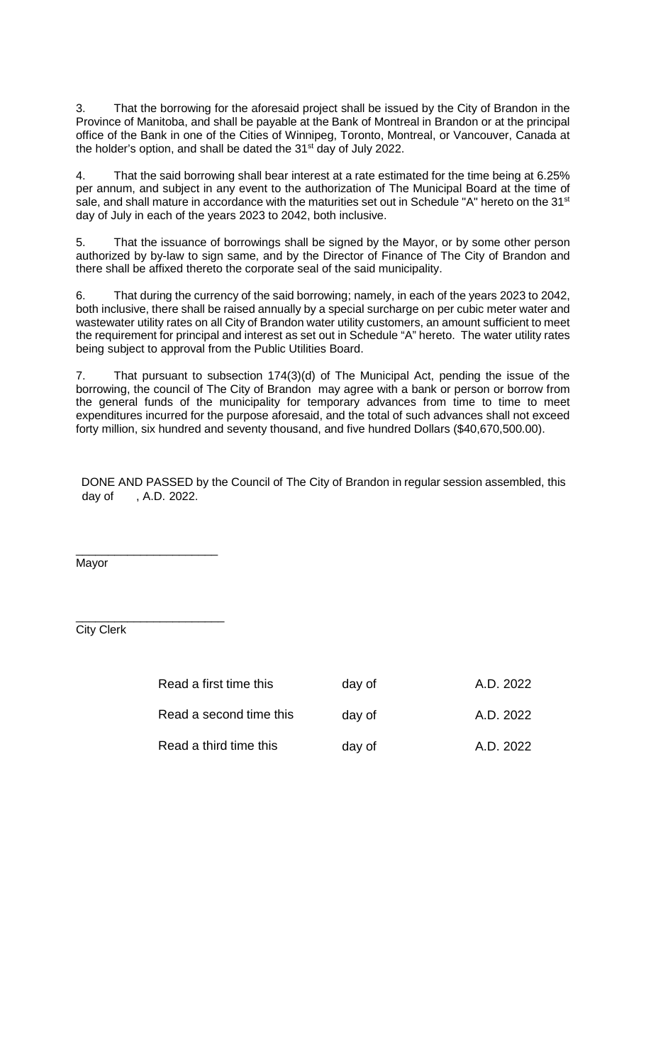3. That the borrowing for the aforesaid project shall be issued by the City of Brandon in the Province of Manitoba, and shall be payable at the Bank of Montreal in Brandon or at the principal office of the Bank in one of the Cities of Winnipeg, Toronto, Montreal, or Vancouver, Canada at the holder's option, and shall be dated the 31st day of July 2022.

4. That the said borrowing shall bear interest at a rate estimated for the time being at 6.25% per annum, and subject in any event to the authorization of The Municipal Board at the time of sale, and shall mature in accordance with the maturities set out in Schedule "A" hereto on the 31<sup>st</sup> day of July in each of the years 2023 to 2042, both inclusive.

5. That the issuance of borrowings shall be signed by the Mayor, or by some other person authorized by by-law to sign same, and by the Director of Finance of The City of Brandon and there shall be affixed thereto the corporate seal of the said municipality.

6. That during the currency of the said borrowing; namely, in each of the years 2023 to 2042, both inclusive, there shall be raised annually by a special surcharge on per cubic meter water and wastewater utility rates on all City of Brandon water utility customers, an amount sufficient to meet the requirement for principal and interest as set out in Schedule "A" hereto. The water utility rates being subject to approval from the Public Utilities Board.

7. That pursuant to subsection 174(3)(d) of The Municipal Act, pending the issue of the borrowing, the council of The City of Brandon may agree with a bank or person or borrow from the general funds of the municipality for temporary advances from time to time to meet expenditures incurred for the purpose aforesaid, and the total of such advances shall not exceed forty million, six hundred and seventy thousand, and five hundred Dollars (\$40,670,500.00).

DONE AND PASSED by the Council of The City of Brandon in regular session assembled, this day of , A.D. 2022.

\_\_\_\_\_\_\_\_\_\_\_\_\_\_\_\_\_\_\_\_\_\_ Mayor

City Clerk

\_\_\_\_\_\_\_\_\_\_\_\_\_\_\_\_\_\_\_\_\_\_\_

| Read a first time this  | day of | A.D. 2022 |
|-------------------------|--------|-----------|
| Read a second time this | day of | A.D. 2022 |
| Read a third time this  | day of | A.D. 2022 |